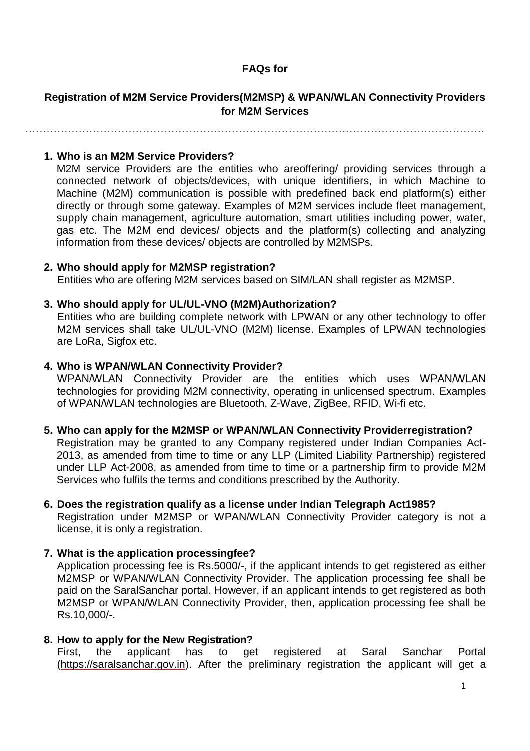## **FAQs for**

## **Registration of M2M Service Providers(M2MSP) & WPAN/WLAN Connectivity Providers for M2M Services**

…………………………………………………………………………………………………………………

### **1. Who is an M2M Service Providers?**

M2M service Providers are the entities who areoffering/ providing services through a connected network of objects/devices, with unique identifiers, in which Machine to Machine (M2M) communication is possible with predefined back end platform(s) either directly or through some gateway. Examples of M2M services include fleet management, supply chain management, agriculture automation, smart utilities including power, water, gas etc. The M2M end devices/ objects and the platform(s) collecting and analyzing information from these devices/ objects are controlled by M2MSPs.

#### **2. Who should apply for M2MSP registration?**

Entities who are offering M2M services based on SIM/LAN shall register as M2MSP.

#### **3. Who should apply for UL/UL-VNO (M2M)Authorization?**

Entities who are building complete network with LPWAN or any other technology to offer M2M services shall take UL/UL-VNO (M2M) license. Examples of LPWAN technologies are LoRa, Sigfox etc.

### **4. Who is WPAN/WLAN Connectivity Provider?**

WPAN/WLAN Connectivity Provider are the entities which uses WPAN/WLAN technologies for providing M2M connectivity, operating in unlicensed spectrum. Examples of WPAN/WLAN technologies are Bluetooth, Z-Wave, ZigBee, RFID, Wi-fi etc.

#### **5. Who can apply for the M2MSP or WPAN/WLAN Connectivity Providerregistration?**

Registration may be granted to any Company registered under Indian Companies Act-2013, as amended from time to time or any LLP (Limited Liability Partnership) registered under LLP Act-2008, as amended from time to time or a partnership firm to provide M2M Services who fulfils the terms and conditions prescribed by the Authority.

### **6. Does the registration qualify as a license under Indian Telegraph Act1985?**

Registration under M2MSP or WPAN/WLAN Connectivity Provider category is not a license, it is only a registration.

### **7. What is the application processingfee?**

Application processing fee is Rs.5000/-, if the applicant intends to get registered as either M2MSP or WPAN/WLAN Connectivity Provider. The application processing fee shall be paid on the SaralSanchar portal. However, if an applicant intends to get registered as both M2MSP or WPAN/WLAN Connectivity Provider, then, application processing fee shall be Rs.10,000/-.

#### **8. How to apply for the New Registration?**

First, the applicant has to get registered at Saral Sanchar Portal (https://saralsanchar.gov.in). After the preliminary registration the applicant will get a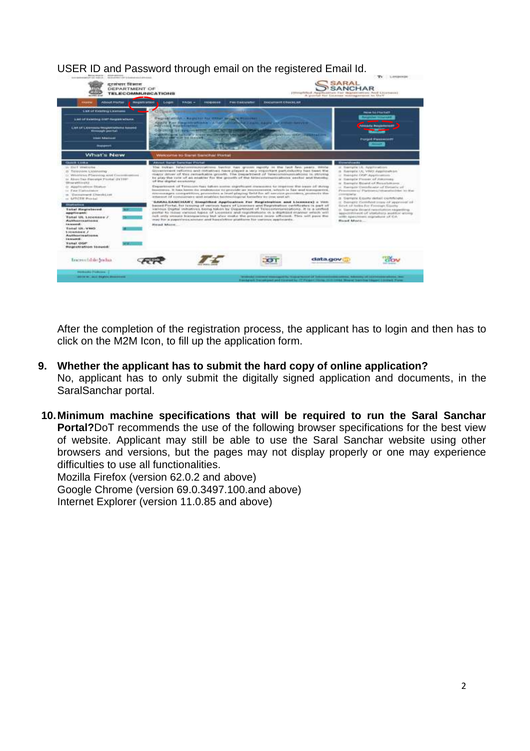

USER ID and Password through email on the registered Email Id.

After the completion of the registration process, the applicant has to login and then has to click on the M2M Icon, to fill up the application form.

- **9. Whether the applicant has to submit the hard copy of online application?** No, applicant has to only submit the digitally signed application and documents, in the SaralSanchar portal.
- **10.Minimum machine specifications that will be required to run the Saral Sanchar Portal?**DoT recommends the use of the following browser specifications for the best view of website. Applicant may still be able to use the Saral Sanchar website using other browsers and versions, but the pages may not display properly or one may experience difficulties to use all functionalities.

Mozilla Firefox (version 62.0.2 and above) Google Chrome (version 69.0.3497.100.and above) Internet Explorer (version 11.0.85 and above)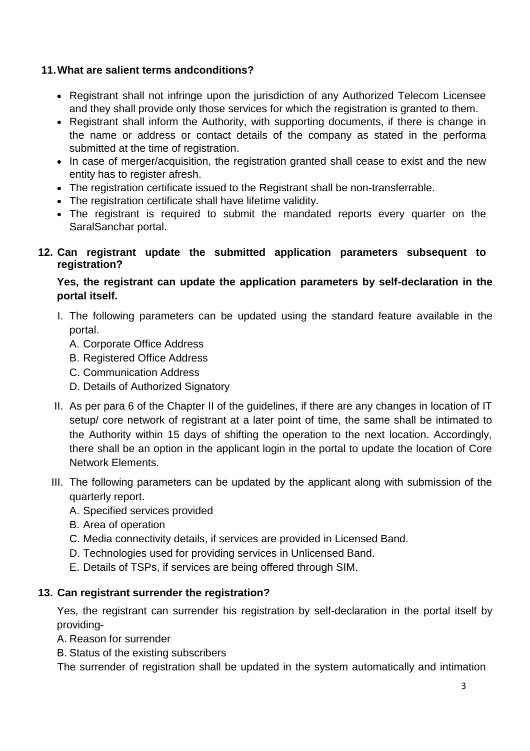## **11.What are salient terms andconditions?**

- Registrant shall not infringe upon the jurisdiction of any Authorized Telecom Licensee and they shall provide only those services for which the registration is granted to them.
- Registrant shall inform the Authority, with supporting documents, if there is change in the name or address or contact details of the company as stated in the performa submitted at the time of registration.
- In case of merger/acquisition, the registration granted shall cease to exist and the new entity has to register afresh.
- The registration certificate issued to the Registrant shall be non-transferrable.
- The registration certificate shall have lifetime validity.
- The registrant is required to submit the mandated reports every quarter on the SaralSanchar portal.
- **12. Can registrant update the submitted application parameters subsequent to registration?**

## **Yes, the registrant can update the application parameters by self-declaration in the portal itself.**

- I. The following parameters can be updated using the standard feature available in the portal.
	- A. Corporate Office Address
	- B. Registered Office Address
	- C. Communication Address
	- D. Details of Authorized Signatory
- II. As per para 6 of the Chapter II of the guidelines, if there are any changes in location of IT setup/ core network of registrant at a later point of time, the same shall be intimated to the Authority within 15 days of shifting the operation to the next location. Accordingly, there shall be an option in the applicant login in the portal to update the location of Core Network Elements.
- III. The following parameters can be updated by the applicant along with submission of the quarterly report.
	- A. Specified services provided
	- B. Area of operation
	- C. Media connectivity details, if services are provided in Licensed Band.
	- D. Technologies used for providing services in Unlicensed Band.
	- E. Details of TSPs, if services are being offered through SIM.

## **13. Can registrant surrender the registration?**

Yes, the registrant can surrender his registration by self-declaration in the portal itself by providing-

- A. Reason for surrender
- B. Status of the existing subscribers

The surrender of registration shall be updated in the system automatically and intimation